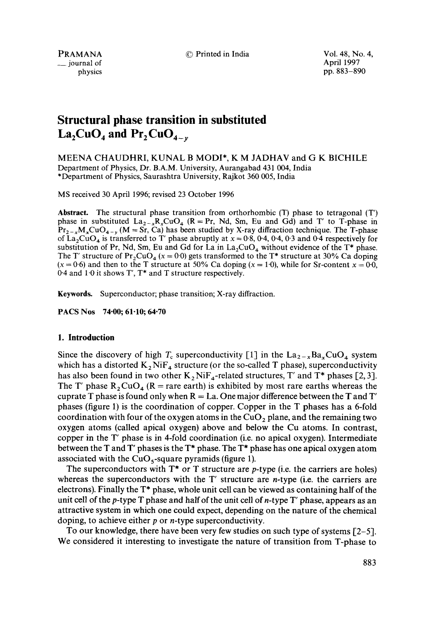$\equiv$  journal of

PRAMANA © Printed in India Vol. 48, No. 4, physics pp. 883-890

# **Structural phase transition in substituted**   $La_2CuO_4$  and  $Pr_2CuO_{4-v}$

MEENA CHAUDHRI, KUNAL B MODI\*, K M JADHAV and G K BICHILE Department of Physics, Dr. B.A.M. University, Aurangabad 431 004, India \*Department of Physics, Saurashtra University, Rajkot 360 005, India

MS received 30 April 1996; revised 23 October 1996

**Abstract.** The structural phase transition from orthorhombic (T) phase to tetragonal (T') phase in substituted  $La_{2-x}R_xCuO_4$  (R = Pr, Nd, Sm, Eu and Gd) and T' to T-phase in  $Pr_{2-x}M_xCuO_{4-y}$  (M = Sr, Ca) has been studied by X-ray diffraction technique. The T-phase of  $\text{La}_2\text{CuO}_4$  is transferred to T' phase abruptly at  $x = 0.8$ , 0.4, 0.4, 0.3 and 0.4 respectively for substitution of Pr, Nd, Sm, Eu and Gd for La in  $La_2CuO_4$  without evidence of the T\* phase. The T' structure of  $Pr_2CuO_4$  (x = 0.0) gets transformed to the T\* structure at 30% Ca doping  $(x = 0.6)$  and then to the T structure at 50% Ca doping  $(x = 1.0)$ , while for Sr-content  $x = 0.0$ , 0.4 and 1.0 it shows T', T\* and T structure respectively.

**Keywords.** Superconductor; phase transition; X-ray diffraction.

**PACS Nos 74"00; 61-10; 64"70** 

## **1. Introduction**

Since the discovery of high  $T_c$  superconductivity [1] in the  $\text{La}_{2-x}\text{Ba}_x\text{CuO}_4$  system which has a distorted  $K_2$  Ni $F_4$  structure (or the so-called T phase), superconductivity has also been found in two other  $K_2 N iF_4$ -related structures, T' and T\* phases [2, 3]. The T' phase  $R_2CuO_4$  (R = rare earth) is exhibited by most rare earths whereas the cuprate T phase is found only when  $R = La$ . One major difference between the T and T' phases (figure 1) is the coordination of copper. Copper in the T phases has a 6-fold coordination with four of the oxygen atoms in the  $CuO<sub>2</sub>$  plane, and the remaining two oxygen atoms (called apical oxygen) above and below the Cu atoms. In contrast, copper in the T' phase is in 4-fold coordination (i.e. no apical oxygen). Intermediate between the T and T' phases is the  $T^*$  phase. The  $T^*$  phase has one apical oxygen atom associated with the  $CuO<sub>5</sub>$ -square pyramids (figure 1).

The superconductors with  $T^*$  or T structure are *p*-type (i.e. the carriers are holes) whereas the superconductors with the  $T'$  structure are *n*-type (i.e. the carriers are electrons). Finally the  $T^*$  phase, whole unit cell can be viewed as containing half of the unit cell of the  $p$ -type T phase and half of the unit cell of  $n$ -type T' phase, appears as an attractive system in which one could expect, depending on the nature of the chemical doping, to achieve either  $p$  or  $n$ -type superconductivity.

To our knowledge, there have been very few studies on such type of systems  $[2-5]$ . We considered it interesting to investigate the nature of transition from T-phase to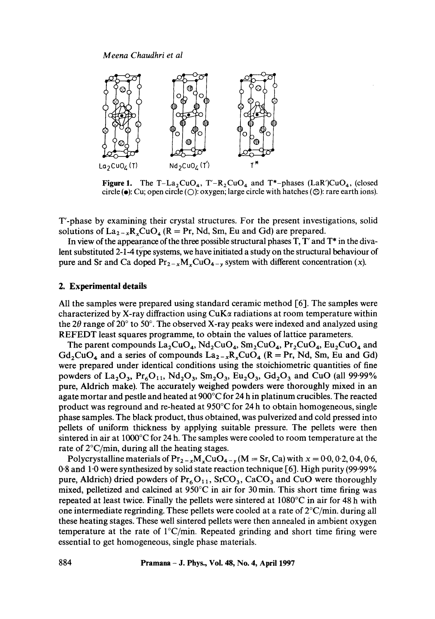

Figure 1. The T-La<sub>2</sub>CuO<sub>4</sub>, T'-R<sub>2</sub>CuO<sub>4</sub> and T<sup>\*</sup>-phases (LaR')CuO<sub>4</sub>, (closed circle ( $\bullet$ ): Cu; open circle ( $\bigcirc$ ): oxygen; large circle with hatches ( $\bigcirc$ ): rare earth ions).

T'-phase by examining their crystal structures. For the present investigations, solid solutions of  $La_{2-x}R_xCuO_4$  ( $R = Pr$ , Nd, Sm, Eu and Gd) are prepared.

In view of the appearance of the three possible structural phases  $T$ ,  $T'$  and  $T^*$  in the divalent substituted 2-1-4 type systems, we have initiated a study on the structural behaviour of pure and Sr and Ca doped  $Pr_{2-x}M_xCuO_{4-y}$  system with different concentration (x).

## **2. Experimental details**

All the samples were prepared using standard ceramic method  $\lceil 6 \rceil$ . The samples were characterized by X-ray diffraction using  $CuK\alpha$  radiations at room temperature within the 2 $\theta$  range of 20 $\degree$  to 50 $\degree$ . The observed X-ray peaks were indexed and analyzed using REFEDT least squares programme, to obtain the values of lattice parameters.

The parent compounds  $La_2CuO_4$ ,  $Nd_2CuO_4$ ,  $Sm_2CuO_4$ ,  $Pr_2CuO_4$ ,  $Eu_2CuO_4$  and  $Gd_2CuO_4$  and a series of compounds  $La_{2-x}R_xCuO_4$  (R = Pr, Nd, Sm, Eu and Gd) were prepared under identical conditions using the stoichiometric quantities of fine powders of La<sub>2</sub>O<sub>3</sub>, Pr<sub>6</sub>O<sub>11</sub>, Nd<sub>2</sub>O<sub>3</sub>, Sm<sub>2</sub>O<sub>3</sub>, Eu<sub>2</sub>O<sub>3</sub>, Gd<sub>2</sub>O<sub>3</sub> and CuO (all 99.99%) pure, Aldrich make). The accurately weighed powders were thoroughly mixed in an agate mortar and pestle and heated at 900°C for 24 h in platinum crucibles. The reacted product was reground and re-heated at  $950^{\circ}$ C for 24 h to obtain homogeneous, single phase samples. The black product, thus obtained, was pulverized and cold pressed into pellets of uniform thickness by applying suitable pressure. The pellets were then sintered in air at 1000°C for 24 h. The samples were cooled to room temperature at the rate of  $2^{\circ}$ C/min, during all the heating stages.

Polycrystalline materials of  $Pr_{2-x}M_xCuO_{4-y} (M = Sr, Ca)$  with  $x = 0.0, 0.2, 0.4, 0.6,$ 0.8 and 1.0 were synthesized by solid state reaction technique  $[6]$ . High purity (99.99%) pure, Aldrich) dried powders of  $Pr_6O_{11}$ , SrCO<sub>3</sub>, CaCO<sub>3</sub> and CuO were thoroughly mixed, pelletized and calcined at  $950^{\circ}$ C in air for 30 min. This short time firing was repeated at least twice. Finally the pellets were sintered at 1080°C in air for 48 h with one intermediate regrinding. These pellets were cooled at a rate of  $2^{\circ}C/min$ . during all these heating stages. These well sintered pellets were then annealed in ambient oxygen temperature at the rate of  $1^{\circ}C/\text{min}$ . Repeated grinding and short time firing were essential to get homogeneous, single phase materials.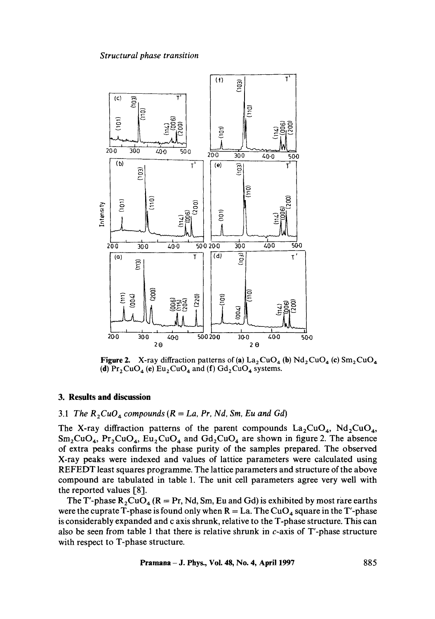#### *Structural phase transition*



**Figure 2.** X-ray diffraction patterns of (a)  $\text{La}_2\text{CuO}_4$  (b)  $\text{Nd}_2\text{CuO}_4$  (c)  $\text{Sm}_2\text{CuO}_4$ (d)  $Pr_2CuO_4$  (e)  $Eu_2CuO_4$  and (f)  $Gd_2CuO_4$  systems.

#### **3. Results and discussion**

## 3.1 *The*  $R_2CuO_4$  compounds ( $R = La$ ,  $Pr$ ,  $Nd$ ,  $Sm$ ,  $Eu$  and  $Gd$ )

The X-ray diffraction patterns of the parent compounds  $La_2CuO<sub>4</sub>$ , Nd<sub>2</sub>CuO<sub>4</sub>,  $Sm_2CuO_4$ ,  $Pr_2CuO_4$ ,  $Eu_2CuO_4$  and  $Gd_2CuO_4$  are shown in figure 2. The absence of extra peaks confirms the phase purity of the samples prepared. The observed X-ray peaks were indexed and values of lattice parameters were calculated using REFEDT least squares programme. The lattice parameters and structure of the above compound are tabulated in table 1. The unit cell parameters agree very well with the reported values [8].

The T'-phase  $R_2CuO_4 (R = Pr, Nd, Sm, Eu and Gd)$  is exhibited by most rare earths were the cuprate T-phase is found only when  $R = La$ . The CuO<sub>4</sub> square in the T'-phase is considerably expanded and c axis shrunk, relative to the T-phase structure. This can also be seen from table 1 that there is relative shrunk in  $c$ -axis of T'-phase structure with respect to T-phase structure.

**Pramana - J. Phy&, Vol. 48, No. 4, April 1997 885**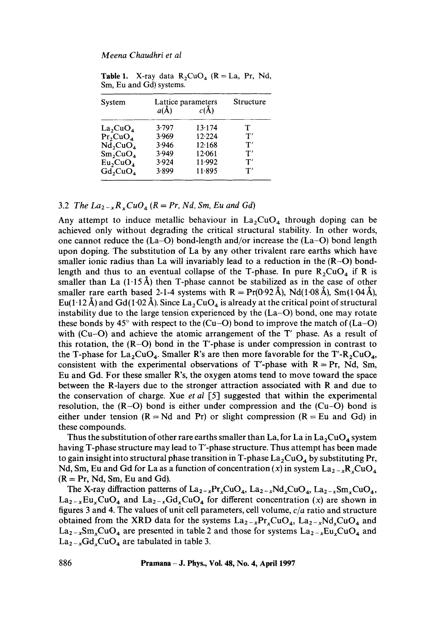| System                                   | Lattice parameters<br>$a(\AA)$ | <b>Structure</b> |               |
|------------------------------------------|--------------------------------|------------------|---------------|
|                                          |                                | $c(\lambda)$     |               |
| $La_2CuO_4$                              | 3.797                          | 13.174           | т             |
| $Pr_2$ $CuO_4$                           | 3.969                          | 12.224           | T'            |
| $N\bar{d}$ <sub>2</sub> CuO <sub>4</sub> | 3.946                          | 12.168           | $\mathbf{T}'$ |
| Sm <sub>2</sub> CuO <sub>4</sub>         | 3.949                          | 12.061           | $\mathbf{T}'$ |
| Eu <sub>2</sub> CuO <sub>4</sub>         | 3.924                          | 11.992           | $\mathbf{T}'$ |
| $Gd_2CuO_4$                              | 3.899                          | 11.895           | $\mathbf{T}'$ |

**Table 1.** X-ray data  $R_2CuO_4$  ( $R = La$ ,  $Pr$ , Nd, Sm, Eu and Gd) systems.

## 3.2 *The La*<sub>2-x</sub> $R_xCuO_4$  ( $R = Pr$ , *Nd*, *Sm*, *Eu and Gd*)

Any attempt to induce metallic behaviour in  $La_2CuO<sub>4</sub>$  through doping can be achieved only without degrading the critical structural stability. In other words, one cannot reduce the  $(La-O)$  bond-length and/or increase the  $(La-O)$  bond length upon doping. The substitution of La by any other trivalent rare earths which have smaller ionic radius than La will invariably lead to a reduction in the  $(R-O)$  bondlength and thus to an eventual collapse of the T-phase. In pure  $R_2CuO_4$  if R is smaller than La  $(1.15\text{Å})$  then T-phase cannot be stabilized as in the case of other smaller rare earth based 2-1-4 systems with  $R = Pr(0.92 \text{ Å})$ , Nd(1.08 Å), Sm(1.04 Å), Eu(1.12 Å) and Gd(1.02 Å). Since La, CuO<sub>4</sub> is already at the critical point of structural instability due to the large tension experienced by the  $(La-O)$  bond, one may rotate these bonds by 45 $\degree$  with respect to the (Cu–O) bond to improve the match of (La–O) with  $(Cu-O)$  and achieve the atomic arrangement of the T' phase. As a result of this rotation, the  $(R-O)$  bond in the T'-phase is under compression in contrast to the T-phase for  $La_2CuO<sub>4</sub>$ . Smaller R's are then more favorable for the T'-R<sub>2</sub>CuO<sub>4</sub>, consistent with the experimental observations of T'-phase with  $R = Pr$ , Nd, Sm, Eu and Gd. For these smaller R's, the oxygen atoms tend to move toward the space between the R-layers due to the stronger attraction associated with R and due to the conservation of charge. Xue *et al* [5] suggested that within the experimental resolution, the  $(R-O)$  bond is either under compression and the  $(Cu-O)$  bond is either under tension ( $R = Nd$  and Pr) or slight compression ( $R = Eu$  and Gd) in these compounds.

Thus the substitution of other rare earths smaller than La, for La in  $La_2CuO_4$  system having T-phase structure may lead to T'-phase structure. Thus attempt has been made to gain insight into structural phase transition in T-phase  $La_2CuO_4$  by substituting Pr, Nd, Sm, Eu and Gd for La as a function of concentration (x) in system  $\text{La}_{2-x}\text{R}_{x}\text{CuO}_{4}$  $(R = Pr, Nd, Sm, Eu and Gd).$ 

The X-ray diffraction patterns of  $La_{2-x}Pr_xCuO_4$ ,  $La_{2-x}Nd_xCuO_4$ ,  $La_{2-x}Sm_xCuO_4$ ,  $La_{2-x}Eu_xCuO_4$  and  $La_{2-x}Gd_xCuO_4$  for different concentration (x) are shown in figures 3 and 4. The values of unit cell parameters, cell volume, *c/a* ratio and structure obtained from the XRD data for the systems  $La_{2-x}Pr_xCuO_4$ ,  $La_{2-x}Nd_xCuO_4$  and  $La_{2-x}Sm_xCuO_4$  are presented in table 2 and those for systems  $La_{2-x}Eu_xCuO_4$  and  $La_{2-x}Gd_xCuO_4$  are tabulated in table 3.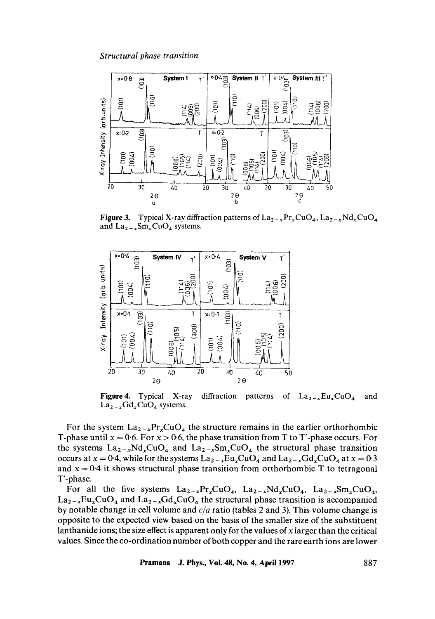

**Figure 3.** Typical X-ray diffraction patterns of  $\text{La}_{2-x}\text{Pr}_x\text{CuO}_4$ ,  $\text{La}_{2-x}\text{Nd}_x\text{CuO}_4$ and  $La_{2-x}Sm_xCuO_4$  systems.



**Figure 4.** Typical X-ray diffraction patterns of  $La_{2-x}Eu_xCuO_4$  and  $La_{2-x}Gd_xCuO_4$  systems.

For the system  $\text{La}_{2-x}\text{Pr}_{x}\text{CuO}_{4}$  the structure remains in the earlier orthorhombic T-phase until  $x = 0.6$ . For  $x > 0.6$ , the phase transition from T to T'-phase occurs. For the systems  $La_{2-x}Nd_xCuO_4$  and  $La_{2-x}Sm_xCuO_4$  the structural phase transition occurs at  $x = 0.4$ , while for the systems  $La_{2-x}Eu_xCuO_4$  and  $La_{2-x}Gd_xCuO_4$  at  $x = 0.3$ and  $x = 0.4$  it shows structural phase transition from orthorhombic T to tetragonal T'-phase.

For all the five systems  $La_{2-x}Pr_xCuO_4$ ,  $La_{2-x}Nd_xCuO_4$ ,  $La_{2-x}Sm_xCuO_4$ ,  $La_{2-x}Eu_{x}CuO_{4}$  and  $La_{2-x}Gd_{x}CuO_{4}$  the structural phase transition is accompanied by notable change in cell volume and *c/a* ratio (tables 2 and 3). This volume change is opposite to the expected view based on the basis of the smaller size of the substituent lanthanide ions; the size effect is apparent only for the values of  $x$  larger than the critical values. Since the co-ordination number of both copper and the rare earth ions are lower

**Pramana - J. Phys., Vol. 48, No. 4, April 1997 887**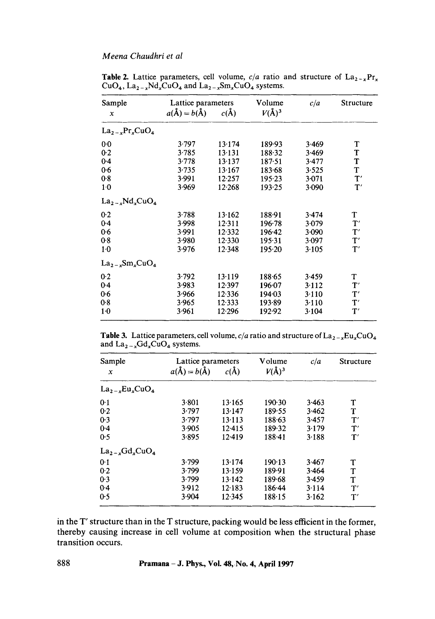| Lattice parameters              |          | Volume     | c/a   | Structure           |
|---------------------------------|----------|------------|-------|---------------------|
| $a(\text{\AA}) = b(\text{\AA})$ | $c(\AA)$ | $V(\AA)^3$ |       |                     |
|                                 |          |            |       |                     |
| 3.797                           | 13.174   | 189.93     | 3.469 | T                   |
| 3.785                           | 13.131   | 188.32     | 3.469 | T                   |
| 3.778                           | 13.137   | 187.51     | 3.477 | T                   |
| 3.735                           | 13.167   | 183.68     | 3.525 | T                   |
| 3.991                           | 12.257   | $195 - 23$ | 3.071 | $\mathbf{T}'$       |
| 3.969                           | 12.268   | 193.25     | 3.090 | T'                  |
|                                 |          |            |       |                     |
| 3.788                           | 13.162   | 188.91     | 3.474 | T                   |
| 3.998                           | 12.311   | 196.78     | 3.079 | T'                  |
| 3.991                           | 12.332   | 196.42     | 3.090 | T'                  |
| 3.980                           | 12.330   | 195.31     | 3.097 | T'                  |
| 3.976                           | 12.348   | 195.20     | 3.105 | T'                  |
|                                 |          |            |       |                     |
| 3.792                           | 13.119   | 188.65     | 3.459 | T                   |
| 3.983                           | 12.397   | 196.07     | 3.112 | T'                  |
| 3.966                           | 12.336   | 194.03     | 3.110 | T'                  |
| 3.965                           | 12.333   | 193.89     | 3.110 | $\mathbf{T}^\prime$ |
| 3.961                           | 12.296   | 192.92     | 3.104 | $\mathbf{T}'$       |
|                                 |          |            |       |                     |

Table 2. Lattice parameters, cell volume,  $c/a$  ratio and structure of  $La_{2-x}Pr_x$ CuO<sub>4</sub>, La<sub>2-x</sub>Nd<sub>x</sub>CuO<sub>4</sub> and La<sub>2-x</sub>Sm<sub>x</sub>CuO<sub>4</sub> systems.

**Table 3.** Lattice parameters, cell volume,  $c/a$  ratio and structure of  $\text{La}_{2-x}\text{Eu}_x\text{CuO}_4$ and  $La_{2-x}Gd_xCuO_4$  systems.

| Sample                                                | Lattice parameters<br>$a(\mathbf{A}) = b(\mathbf{A})$ | $c(\AA)$ | Volume<br>$V(\AA)^3$ | c/a   | <b>Structure</b>    |
|-------------------------------------------------------|-------------------------------------------------------|----------|----------------------|-------|---------------------|
| $\boldsymbol{x}$                                      |                                                       |          |                      |       |                     |
| $La_2$ <sub>-v</sub> Eu <sub>r</sub> CuO <sub>4</sub> |                                                       |          |                      |       |                     |
| 0.1                                                   | 3.801                                                 | 13.165   | 190.30               | 3.463 | т                   |
| 0.2                                                   | 3.797                                                 | 13.147   | 189.55               | 3.462 | т                   |
| 0.3                                                   | 3.797                                                 | 13.113   | 188.63               | 3.457 | $\mathbf{T}'$       |
| 0.4                                                   | 3.905                                                 | 12.415   | 189.32               | 3.179 | $\mathbf{T}'$       |
| 0.5                                                   | 3.895                                                 | 12.419   | $188 - 41$           | 3.188 | $\mathbf{T}'$       |
| $La_2$ <sub>-s</sub> Gd <sub>s</sub> CuO <sub>4</sub> |                                                       |          |                      |       |                     |
| 0.1                                                   | 3.799                                                 | 13.174   | $190-13$             | 3.467 | T                   |
| 0.2                                                   | 3.799                                                 | 13.159   | 189-91               | 3.464 | T                   |
| 0.3                                                   | 3.799                                                 | 13.142   | 189.68               | 3.459 | т                   |
| 0.4                                                   | 3.912                                                 | 12.183   | 186.44               | 3.114 | $\mathbf{T}^\prime$ |
| 0.5                                                   | 3.904                                                 | 12.345   | 188.15               | 3.162 | $\mathbf{T}^\prime$ |

in the T' structure than in the T structure, packing would be less efficient in the former, thereby causing increase in cell volume at composition when the structural phase transition occurs.

**888 Pramana - J. Phys., Vol. 48,No. 4, April 1997**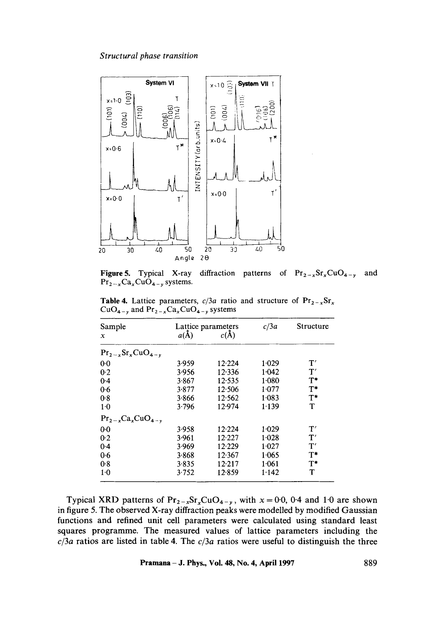

Figure 5. Typical X-ray diffraction  $Pr_{2-x}Ca_xCuO_{4-y}$  systems. patterns of  $Pr_{2-x}Sr_xCuO_{4-y}$  and

**Table 4.** Lattice parameters,  $c/3a$  ratio and structure of  $Pr_{2-x}Sr_x$  $CuO_{4-y}$  and  $Pr_{2-x}Ca_xCuO_{4-y}$  systems

| Sample                                        |          | Lattice parameters | c/3a    | Structure     |  |
|-----------------------------------------------|----------|--------------------|---------|---------------|--|
| x                                             | $a(\AA)$ | $c(\AA)$           |         |               |  |
| $Pr_{2-x}$ Sr <sub>x</sub> CuO <sub>4-v</sub> |          |                    |         |               |  |
| 00                                            | 3.959    | 12.224             | 1.029   | $\mathbf{T}'$ |  |
| 0.2                                           | 3.956    | 12.336             | 1.042   | T'            |  |
| 0.4                                           | 3.867    | 12.535             | 1.080   | $T^*$         |  |
| 0.6                                           | 3.877    | 12.506             | 1.077   | $T^*$         |  |
| 0.8                                           | 3.866    | 12:562             | 1.083   | $T^*$         |  |
| 1·0                                           | 3.796    | 12.974             | 1.139   | T             |  |
| $Pr_{2-x}Ca_xCuO_{4-y}$                       |          |                    |         |               |  |
| 00                                            | 3.958    | 12.224             | $1-029$ | $\mathbf{T}'$ |  |
| 0.2                                           | 3.961    | 12.227             | 1.028   | T'            |  |
| 0.4                                           | 3.969    | 12.229             | 1.027   | $\mathbf{T}'$ |  |
| 0.6                                           | 3.868    | 12.367             | 1.065   | $T^*$         |  |
| 0.8                                           | 3.835    | 12.217             | 1.061   | $T^*$         |  |
| $1-0$                                         | 3.752    | 12.859             | 1.142   | T             |  |

Typical XRD patterns of  $Pr_{2-x}Sr_xCuO_{4-y}$ , with  $x = 0.0$ , 0.4 and 1.0 are shown in figure 5. The observed X-ray diffraction peaks were modelled by modified Gaussian functions and refined unit cell parameters were calculated using standard least squares programme. The measured values of lattice parameters including the *c/3a* ratios are listed in table 4. The *c/3a* ratios were useful to distinguish the three